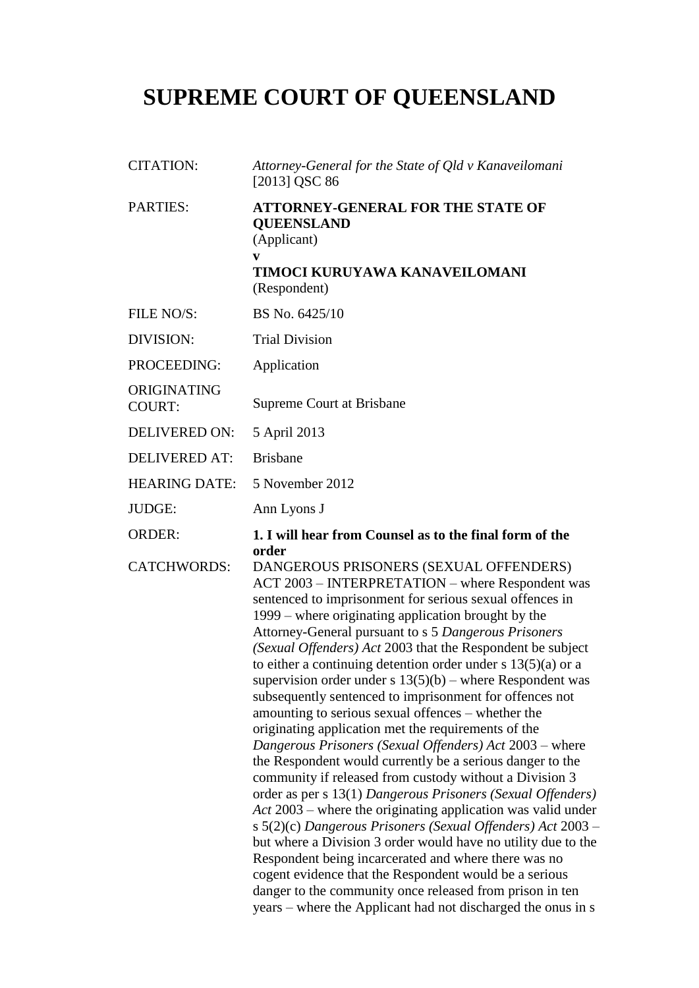# **SUPREME COURT OF QUEENSLAND**

| <b>CITATION:</b>             | Attorney-General for the State of Qld v Kanaveilomani<br>[2013] QSC 86                                                                                                                                                                                                                                                                                                                                                                                                                                                                                                                                                                                                                                                                                                                                                                                                                                                                                                                                                                                                                                                                                                                                                                                                                                                                                  |
|------------------------------|---------------------------------------------------------------------------------------------------------------------------------------------------------------------------------------------------------------------------------------------------------------------------------------------------------------------------------------------------------------------------------------------------------------------------------------------------------------------------------------------------------------------------------------------------------------------------------------------------------------------------------------------------------------------------------------------------------------------------------------------------------------------------------------------------------------------------------------------------------------------------------------------------------------------------------------------------------------------------------------------------------------------------------------------------------------------------------------------------------------------------------------------------------------------------------------------------------------------------------------------------------------------------------------------------------------------------------------------------------|
| PARTIES:                     | <b>ATTORNEY-GENERAL FOR THE STATE OF</b><br><b>QUEENSLAND</b><br>(Applicant)<br>V<br>TIMOCI KURUYAWA KANAVEILOMANI<br>(Respondent)                                                                                                                                                                                                                                                                                                                                                                                                                                                                                                                                                                                                                                                                                                                                                                                                                                                                                                                                                                                                                                                                                                                                                                                                                      |
| FILE NO/S:                   | BS No. 6425/10                                                                                                                                                                                                                                                                                                                                                                                                                                                                                                                                                                                                                                                                                                                                                                                                                                                                                                                                                                                                                                                                                                                                                                                                                                                                                                                                          |
| DIVISION:                    | <b>Trial Division</b>                                                                                                                                                                                                                                                                                                                                                                                                                                                                                                                                                                                                                                                                                                                                                                                                                                                                                                                                                                                                                                                                                                                                                                                                                                                                                                                                   |
| PROCEEDING:                  | Application                                                                                                                                                                                                                                                                                                                                                                                                                                                                                                                                                                                                                                                                                                                                                                                                                                                                                                                                                                                                                                                                                                                                                                                                                                                                                                                                             |
| ORIGINATING<br><b>COURT:</b> | Supreme Court at Brisbane                                                                                                                                                                                                                                                                                                                                                                                                                                                                                                                                                                                                                                                                                                                                                                                                                                                                                                                                                                                                                                                                                                                                                                                                                                                                                                                               |
| <b>DELIVERED ON:</b>         | 5 April 2013                                                                                                                                                                                                                                                                                                                                                                                                                                                                                                                                                                                                                                                                                                                                                                                                                                                                                                                                                                                                                                                                                                                                                                                                                                                                                                                                            |
| <b>DELIVERED AT:</b>         | <b>Brisbane</b>                                                                                                                                                                                                                                                                                                                                                                                                                                                                                                                                                                                                                                                                                                                                                                                                                                                                                                                                                                                                                                                                                                                                                                                                                                                                                                                                         |
| <b>HEARING DATE:</b>         | 5 November 2012                                                                                                                                                                                                                                                                                                                                                                                                                                                                                                                                                                                                                                                                                                                                                                                                                                                                                                                                                                                                                                                                                                                                                                                                                                                                                                                                         |
| JUDGE:                       | Ann Lyons J                                                                                                                                                                                                                                                                                                                                                                                                                                                                                                                                                                                                                                                                                                                                                                                                                                                                                                                                                                                                                                                                                                                                                                                                                                                                                                                                             |
| <b>ORDER:</b>                | 1. I will hear from Counsel as to the final form of the                                                                                                                                                                                                                                                                                                                                                                                                                                                                                                                                                                                                                                                                                                                                                                                                                                                                                                                                                                                                                                                                                                                                                                                                                                                                                                 |
| <b>CATCHWORDS:</b>           | order<br>DANGEROUS PRISONERS (SEXUAL OFFENDERS)<br>ACT 2003 - INTERPRETATION - where Respondent was<br>sentenced to imprisonment for serious sexual offences in<br>1999 – where originating application brought by the<br>Attorney-General pursuant to s 5 Dangerous Prisoners<br>(Sexual Offenders) Act 2003 that the Respondent be subject<br>to either a continuing detention order under $s$ 13(5)(a) or a<br>supervision order under s $13(5)(b)$ – where Respondent was<br>subsequently sentenced to imprisonment for offences not<br>amounting to serious sexual offences - whether the<br>originating application met the requirements of the<br>Dangerous Prisoners (Sexual Offenders) Act 2003 – where<br>the Respondent would currently be a serious danger to the<br>community if released from custody without a Division 3<br>order as per s 13(1) Dangerous Prisoners (Sexual Offenders)<br>$Act$ 2003 – where the originating application was valid under<br>s 5(2)(c) Dangerous Prisoners (Sexual Offenders) Act 2003 –<br>but where a Division 3 order would have no utility due to the<br>Respondent being incarcerated and where there was no<br>cogent evidence that the Respondent would be a serious<br>danger to the community once released from prison in ten<br>years – where the Applicant had not discharged the onus in s |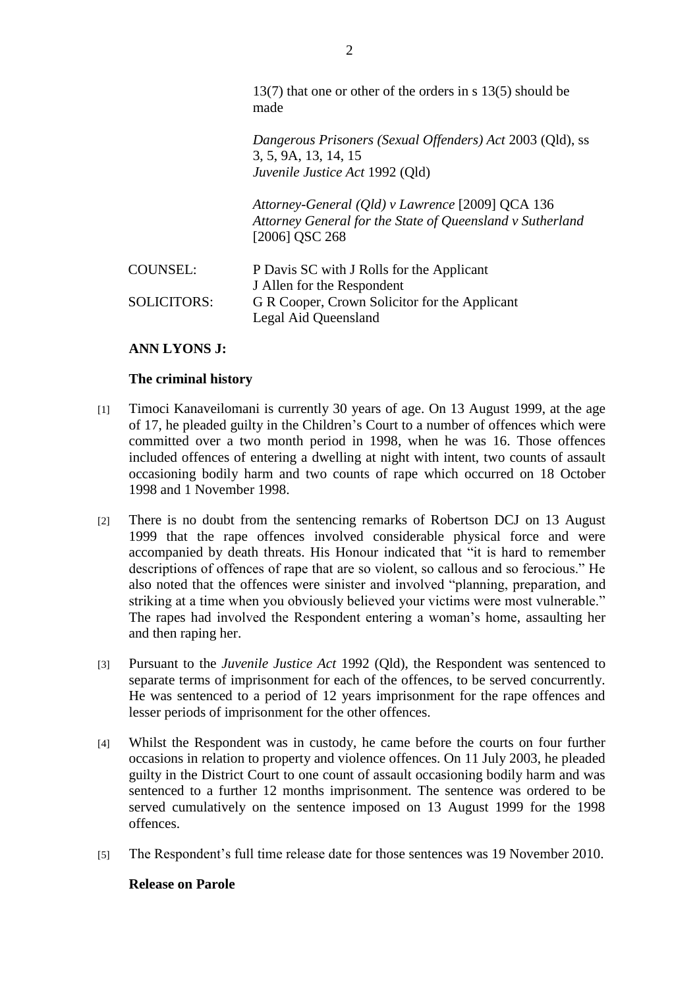13(7) that one or other of the orders in s 13(5) should be made

*Dangerous Prisoners (Sexual Offenders) Act* 2003 (Qld), ss 3, 5, 9A, 13, 14, 15 *Juvenile Justice Act* 1992 (Qld)

*Attorney-General (Qld) v Lawrence* [2009] QCA 136 *Attorney General for the State of Queensland v Sutherland* [2006] QSC 268

| <b>COUNSEL:</b>    | P Davis SC with J Rolls for the Applicant     |
|--------------------|-----------------------------------------------|
|                    | J Allen for the Respondent                    |
| <b>SOLICITORS:</b> | G R Cooper, Crown Solicitor for the Applicant |
|                    | Legal Aid Queensland                          |

## **ANN LYONS J:**

#### **The criminal history**

- [1] Timoci Kanaveilomani is currently 30 years of age. On 13 August 1999, at the age of 17, he pleaded guilty in the Children's Court to a number of offences which were committed over a two month period in 1998, when he was 16. Those offences included offences of entering a dwelling at night with intent, two counts of assault occasioning bodily harm and two counts of rape which occurred on 18 October 1998 and 1 November 1998.
- [2] There is no doubt from the sentencing remarks of Robertson DCJ on 13 August 1999 that the rape offences involved considerable physical force and were accompanied by death threats. His Honour indicated that "it is hard to remember descriptions of offences of rape that are so violent, so callous and so ferocious." He also noted that the offences were sinister and involved "planning, preparation, and striking at a time when you obviously believed your victims were most vulnerable." The rapes had involved the Respondent entering a woman's home, assaulting her and then raping her.
- [3] Pursuant to the *Juvenile Justice Act* 1992 (Qld), the Respondent was sentenced to separate terms of imprisonment for each of the offences, to be served concurrently. He was sentenced to a period of 12 years imprisonment for the rape offences and lesser periods of imprisonment for the other offences.
- [4] Whilst the Respondent was in custody, he came before the courts on four further occasions in relation to property and violence offences. On 11 July 2003, he pleaded guilty in the District Court to one count of assault occasioning bodily harm and was sentenced to a further 12 months imprisonment. The sentence was ordered to be served cumulatively on the sentence imposed on 13 August 1999 for the 1998 offences.
- [5] The Respondent's full time release date for those sentences was 19 November 2010.

# **Release on Parole**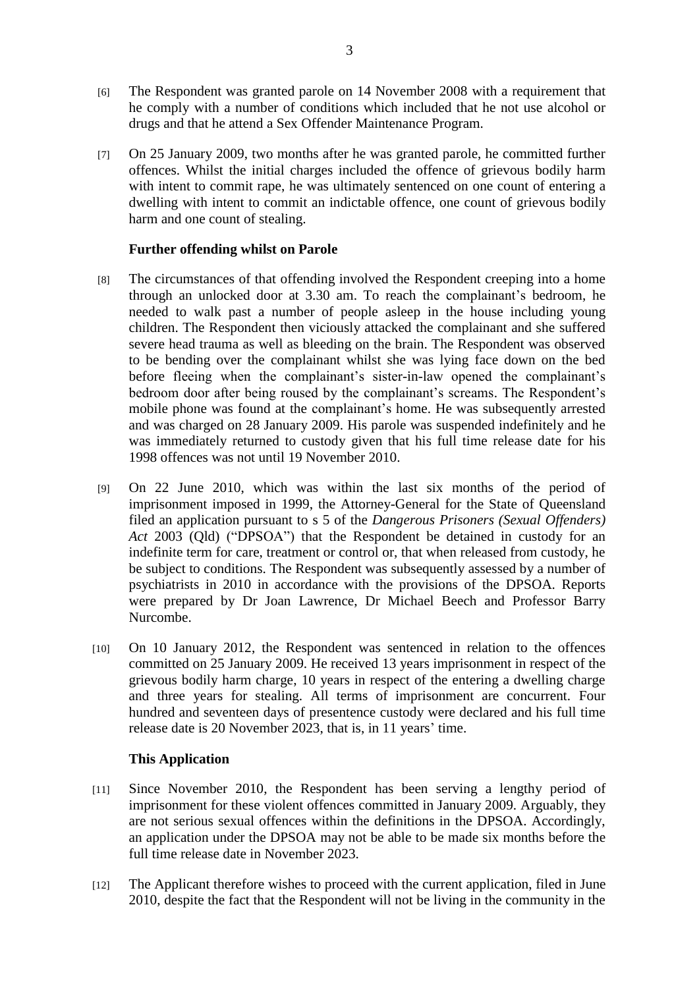- [6] The Respondent was granted parole on 14 November 2008 with a requirement that he comply with a number of conditions which included that he not use alcohol or drugs and that he attend a Sex Offender Maintenance Program.
- [7] On 25 January 2009, two months after he was granted parole, he committed further offences. Whilst the initial charges included the offence of grievous bodily harm with intent to commit rape, he was ultimately sentenced on one count of entering a dwelling with intent to commit an indictable offence, one count of grievous bodily harm and one count of stealing.

# **Further offending whilst on Parole**

- [8] The circumstances of that offending involved the Respondent creeping into a home through an unlocked door at 3.30 am. To reach the complainant's bedroom, he needed to walk past a number of people asleep in the house including young children. The Respondent then viciously attacked the complainant and she suffered severe head trauma as well as bleeding on the brain. The Respondent was observed to be bending over the complainant whilst she was lying face down on the bed before fleeing when the complainant's sister-in-law opened the complainant's bedroom door after being roused by the complainant's screams. The Respondent's mobile phone was found at the complainant's home. He was subsequently arrested and was charged on 28 January 2009. His parole was suspended indefinitely and he was immediately returned to custody given that his full time release date for his 1998 offences was not until 19 November 2010.
- [9] On 22 June 2010, which was within the last six months of the period of imprisonment imposed in 1999, the Attorney-General for the State of Queensland filed an application pursuant to s 5 of the *Dangerous Prisoners (Sexual Offenders) Act* 2003 (Qld) ("DPSOA") that the Respondent be detained in custody for an indefinite term for care, treatment or control or, that when released from custody, he be subject to conditions. The Respondent was subsequently assessed by a number of psychiatrists in 2010 in accordance with the provisions of the DPSOA. Reports were prepared by Dr Joan Lawrence, Dr Michael Beech and Professor Barry Nurcombe.
- [10] On 10 January 2012, the Respondent was sentenced in relation to the offences committed on 25 January 2009. He received 13 years imprisonment in respect of the grievous bodily harm charge, 10 years in respect of the entering a dwelling charge and three years for stealing. All terms of imprisonment are concurrent. Four hundred and seventeen days of presentence custody were declared and his full time release date is 20 November 2023, that is, in 11 years' time.

## **This Application**

- [11] Since November 2010, the Respondent has been serving a lengthy period of imprisonment for these violent offences committed in January 2009. Arguably, they are not serious sexual offences within the definitions in the DPSOA. Accordingly, an application under the DPSOA may not be able to be made six months before the full time release date in November 2023.
- [12] The Applicant therefore wishes to proceed with the current application, filed in June 2010, despite the fact that the Respondent will not be living in the community in the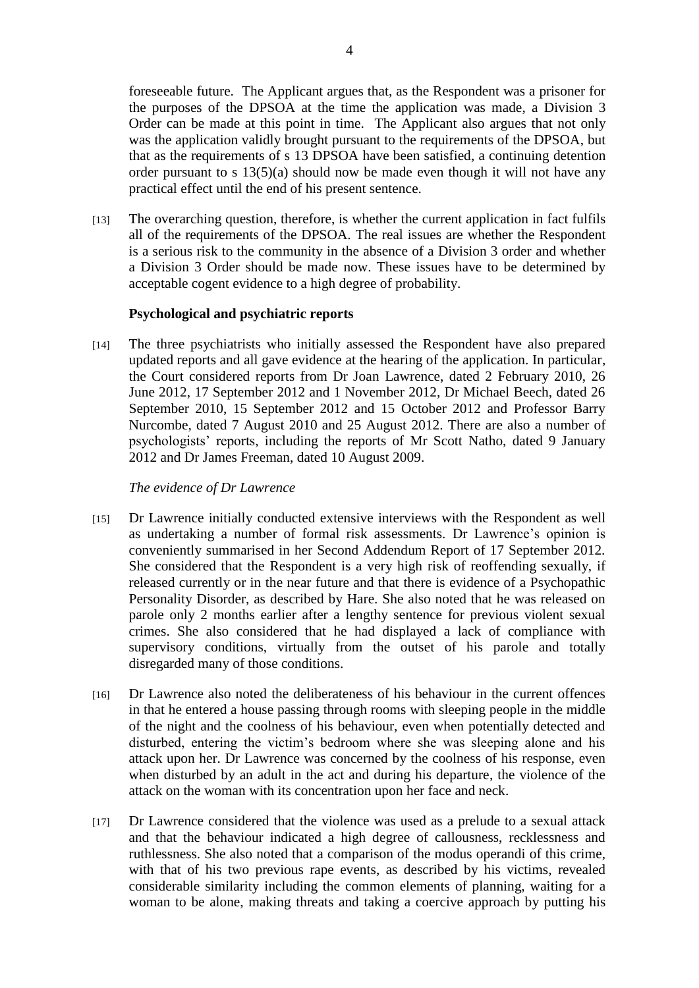foreseeable future. The Applicant argues that, as the Respondent was a prisoner for the purposes of the DPSOA at the time the application was made, a Division 3 Order can be made at this point in time. The Applicant also argues that not only was the application validly brought pursuant to the requirements of the DPSOA, but that as the requirements of s 13 DPSOA have been satisfied, a continuing detention order pursuant to s 13(5)(a) should now be made even though it will not have any practical effect until the end of his present sentence.

[13] The overarching question, therefore, is whether the current application in fact fulfils all of the requirements of the DPSOA. The real issues are whether the Respondent is a serious risk to the community in the absence of a Division 3 order and whether a Division 3 Order should be made now. These issues have to be determined by acceptable cogent evidence to a high degree of probability.

## **Psychological and psychiatric reports**

[14] The three psychiatrists who initially assessed the Respondent have also prepared updated reports and all gave evidence at the hearing of the application. In particular, the Court considered reports from Dr Joan Lawrence, dated 2 February 2010, 26 June 2012, 17 September 2012 and 1 November 2012, Dr Michael Beech, dated 26 September 2010, 15 September 2012 and 15 October 2012 and Professor Barry Nurcombe, dated 7 August 2010 and 25 August 2012. There are also a number of psychologists' reports, including the reports of Mr Scott Natho, dated 9 January 2012 and Dr James Freeman, dated 10 August 2009.

#### *The evidence of Dr Lawrence*

- [15] Dr Lawrence initially conducted extensive interviews with the Respondent as well as undertaking a number of formal risk assessments. Dr Lawrence's opinion is conveniently summarised in her Second Addendum Report of 17 September 2012. She considered that the Respondent is a very high risk of reoffending sexually, if released currently or in the near future and that there is evidence of a Psychopathic Personality Disorder, as described by Hare. She also noted that he was released on parole only 2 months earlier after a lengthy sentence for previous violent sexual crimes. She also considered that he had displayed a lack of compliance with supervisory conditions, virtually from the outset of his parole and totally disregarded many of those conditions.
- [16] Dr Lawrence also noted the deliberateness of his behaviour in the current offences in that he entered a house passing through rooms with sleeping people in the middle of the night and the coolness of his behaviour, even when potentially detected and disturbed, entering the victim's bedroom where she was sleeping alone and his attack upon her. Dr Lawrence was concerned by the coolness of his response, even when disturbed by an adult in the act and during his departure, the violence of the attack on the woman with its concentration upon her face and neck.
- [17] Dr Lawrence considered that the violence was used as a prelude to a sexual attack and that the behaviour indicated a high degree of callousness, recklessness and ruthlessness. She also noted that a comparison of the modus operandi of this crime, with that of his two previous rape events, as described by his victims, revealed considerable similarity including the common elements of planning, waiting for a woman to be alone, making threats and taking a coercive approach by putting his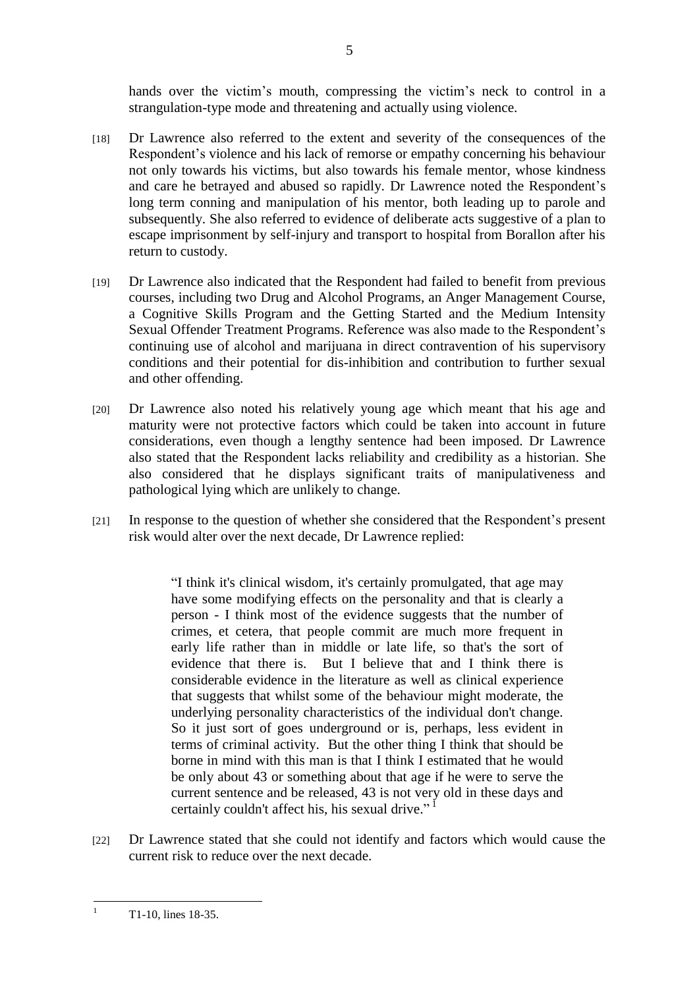hands over the victim's mouth, compressing the victim's neck to control in a strangulation-type mode and threatening and actually using violence.

- [18] Dr Lawrence also referred to the extent and severity of the consequences of the Respondent's violence and his lack of remorse or empathy concerning his behaviour not only towards his victims, but also towards his female mentor, whose kindness and care he betrayed and abused so rapidly. Dr Lawrence noted the Respondent's long term conning and manipulation of his mentor, both leading up to parole and subsequently. She also referred to evidence of deliberate acts suggestive of a plan to escape imprisonment by self-injury and transport to hospital from Borallon after his return to custody.
- [19] Dr Lawrence also indicated that the Respondent had failed to benefit from previous courses, including two Drug and Alcohol Programs, an Anger Management Course, a Cognitive Skills Program and the Getting Started and the Medium Intensity Sexual Offender Treatment Programs. Reference was also made to the Respondent's continuing use of alcohol and marijuana in direct contravention of his supervisory conditions and their potential for dis-inhibition and contribution to further sexual and other offending.
- [20] Dr Lawrence also noted his relatively young age which meant that his age and maturity were not protective factors which could be taken into account in future considerations, even though a lengthy sentence had been imposed. Dr Lawrence also stated that the Respondent lacks reliability and credibility as a historian. She also considered that he displays significant traits of manipulativeness and pathological lying which are unlikely to change.
- [21] In response to the question of whether she considered that the Respondent's present risk would alter over the next decade, Dr Lawrence replied:

"I think it's clinical wisdom, it's certainly promulgated, that age may have some modifying effects on the personality and that is clearly a person - I think most of the evidence suggests that the number of crimes, et cetera, that people commit are much more frequent in early life rather than in middle or late life, so that's the sort of evidence that there is. But I believe that and I think there is considerable evidence in the literature as well as clinical experience that suggests that whilst some of the behaviour might moderate, the underlying personality characteristics of the individual don't change. So it just sort of goes underground or is, perhaps, less evident in terms of criminal activity. But the other thing I think that should be borne in mind with this man is that I think I estimated that he would be only about 43 or something about that age if he were to serve the current sentence and be released, 43 is not very old in these days and certainly couldn't affect his, his sexual drive."<sup>1</sup>

[22] Dr Lawrence stated that she could not identify and factors which would cause the current risk to reduce over the next decade.

 $\frac{1}{1}$ 

T1-10, lines 18-35.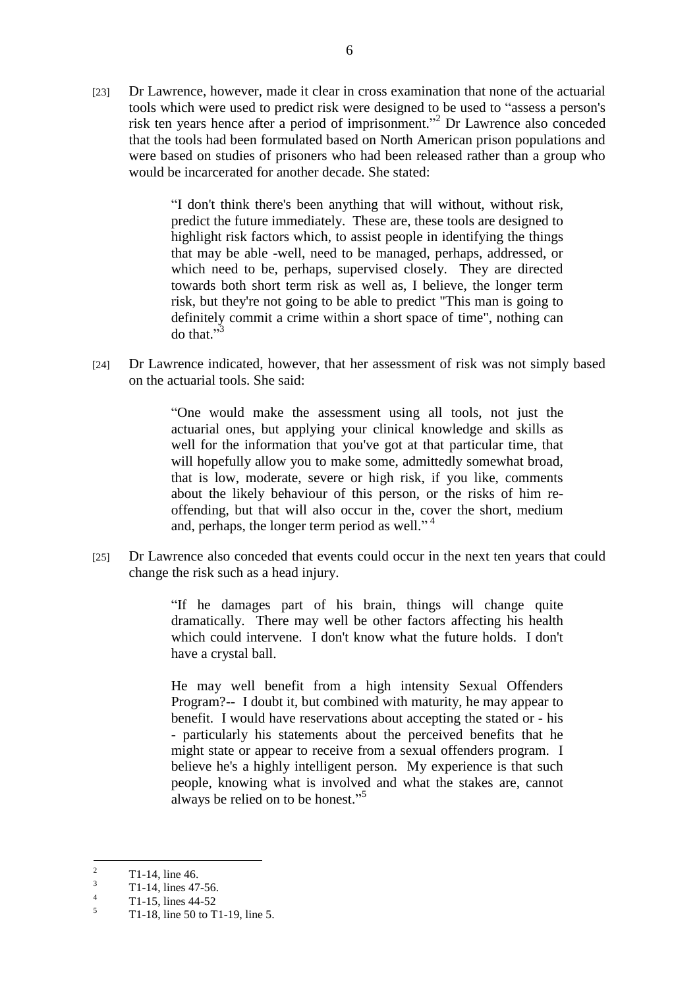[23] Dr Lawrence, however, made it clear in cross examination that none of the actuarial tools which were used to predict risk were designed to be used to "assess a person's risk ten years hence after a period of imprisonment."<sup>2</sup> Dr Lawrence also conceded that the tools had been formulated based on North American prison populations and were based on studies of prisoners who had been released rather than a group who would be incarcerated for another decade. She stated:

> "I don't think there's been anything that will without, without risk, predict the future immediately. These are, these tools are designed to highlight risk factors which, to assist people in identifying the things that may be able -well, need to be managed, perhaps, addressed, or which need to be, perhaps, supervised closely. They are directed towards both short term risk as well as, I believe, the longer term risk, but they're not going to be able to predict "This man is going to definitely commit a crime within a short space of time", nothing can do that." $3$

[24] Dr Lawrence indicated, however, that her assessment of risk was not simply based on the actuarial tools. She said:

> ―One would make the assessment using all tools, not just the actuarial ones, but applying your clinical knowledge and skills as well for the information that you've got at that particular time, that will hopefully allow you to make some, admittedly somewhat broad, that is low, moderate, severe or high risk, if you like, comments about the likely behaviour of this person, or the risks of him reoffending, but that will also occur in the, cover the short, medium and, perhaps, the longer term period as well."<sup>4</sup>

[25] Dr Lawrence also conceded that events could occur in the next ten years that could change the risk such as a head injury.

> "If he damages part of his brain, things will change quite dramatically. There may well be other factors affecting his health which could intervene. I don't know what the future holds. I don't have a crystal ball.

> He may well benefit from a high intensity Sexual Offenders Program?-- I doubt it, but combined with maturity, he may appear to benefit. I would have reservations about accepting the stated or - his - particularly his statements about the perceived benefits that he might state or appear to receive from a sexual offenders program. I believe he's a highly intelligent person. My experience is that such people, knowing what is involved and what the stakes are, cannot always be relied on to be honest."<sup>5</sup>

 $\mathfrak{D}$ <sup>2</sup> T1-14, line 46.

<sup>3</sup> T1-14, lines 47-56.

<sup>4</sup>  $T1-15$ , lines 44-52

<sup>5</sup> T1-18, line 50 to T1-19, line 5.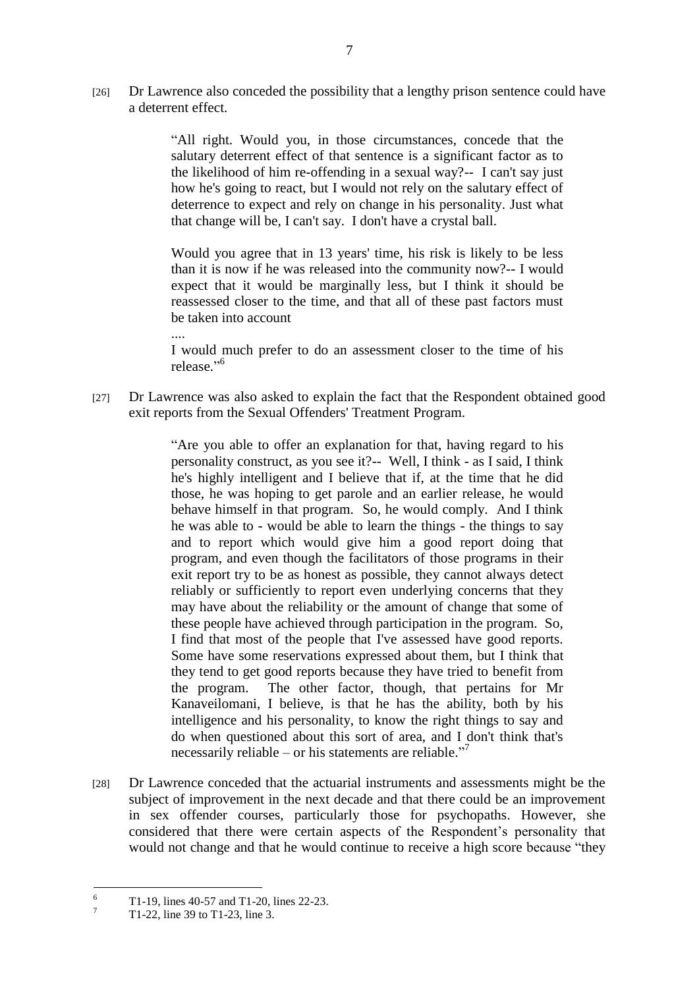[26] Dr Lawrence also conceded the possibility that a lengthy prison sentence could have a deterrent effect.

> ―All right. Would you, in those circumstances, concede that the salutary deterrent effect of that sentence is a significant factor as to the likelihood of him re-offending in a sexual way?-- I can't say just how he's going to react, but I would not rely on the salutary effect of deterrence to expect and rely on change in his personality. Just what that change will be, I can't say. I don't have a crystal ball.

> Would you agree that in 13 years' time, his risk is likely to be less than it is now if he was released into the community now?-- I would expect that it would be marginally less, but I think it should be reassessed closer to the time, and that all of these past factors must be taken into account

> I would much prefer to do an assessment closer to the time of his release."<sup>6</sup>

[27] Dr Lawrence was also asked to explain the fact that the Respondent obtained good exit reports from the Sexual Offenders' Treatment Program.

> "Are you able to offer an explanation for that, having regard to his personality construct, as you see it?-- Well, I think - as I said, I think he's highly intelligent and I believe that if, at the time that he did those, he was hoping to get parole and an earlier release, he would behave himself in that program. So, he would comply. And I think he was able to - would be able to learn the things - the things to say and to report which would give him a good report doing that program, and even though the facilitators of those programs in their exit report try to be as honest as possible, they cannot always detect reliably or sufficiently to report even underlying concerns that they may have about the reliability or the amount of change that some of these people have achieved through participation in the program. So, I find that most of the people that I've assessed have good reports. Some have some reservations expressed about them, but I think that they tend to get good reports because they have tried to benefit from the program. The other factor, though, that pertains for Mr Kanaveilomani, I believe, is that he has the ability, both by his intelligence and his personality, to know the right things to say and do when questioned about this sort of area, and I don't think that's necessarily reliable – or his statements are reliable."<sup>7</sup>

[28] Dr Lawrence conceded that the actuarial instruments and assessments might be the subject of improvement in the next decade and that there could be an improvement in sex offender courses, particularly those for psychopaths. However, she considered that there were certain aspects of the Respondent's personality that would not change and that he would continue to receive a high score because "they

....

<sup>6</sup>  $^{6}$  T1-19, lines 40-57 and T1-20, lines 22-23.

<sup>7</sup> T1-22, line 39 to T1-23, line 3.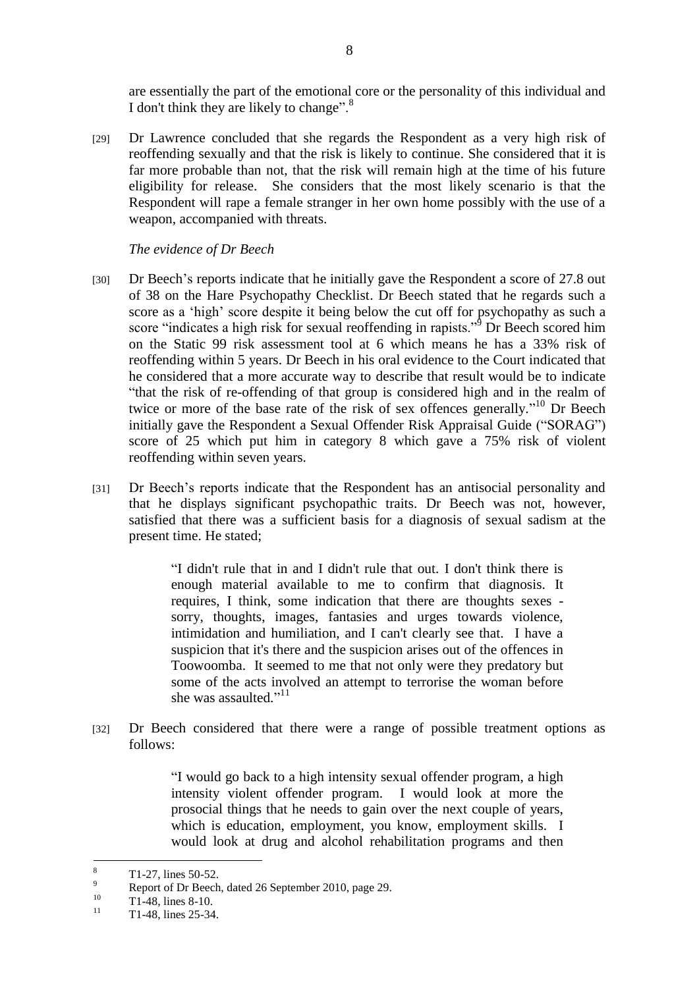are essentially the part of the emotional core or the personality of this individual and I don't think they are likely to change". $8$ 

[29] Dr Lawrence concluded that she regards the Respondent as a very high risk of reoffending sexually and that the risk is likely to continue. She considered that it is far more probable than not, that the risk will remain high at the time of his future eligibility for release. She considers that the most likely scenario is that the Respondent will rape a female stranger in her own home possibly with the use of a weapon, accompanied with threats.

*The evidence of Dr Beech*

- [30] Dr Beech's reports indicate that he initially gave the Respondent a score of 27.8 out of 38 on the Hare Psychopathy Checklist. Dr Beech stated that he regards such a score as a 'high' score despite it being below the cut off for psychopathy as such a score "indicates a high risk for sexual reoffending in rapists."<sup>9</sup> Dr Beech scored him on the Static 99 risk assessment tool at 6 which means he has a 33% risk of reoffending within 5 years. Dr Beech in his oral evidence to the Court indicated that he considered that a more accurate way to describe that result would be to indicate ―that the risk of re-offending of that group is considered high and in the realm of twice or more of the base rate of the risk of sex offences generally.<sup> $10$ </sup> Dr Beech initially gave the Respondent a Sexual Offender Risk Appraisal Guide ("SORAG") score of 25 which put him in category 8 which gave a 75% risk of violent reoffending within seven years.
- [31] Dr Beech's reports indicate that the Respondent has an antisocial personality and that he displays significant psychopathic traits. Dr Beech was not, however, satisfied that there was a sufficient basis for a diagnosis of sexual sadism at the present time. He stated;

―I didn't rule that in and I didn't rule that out. I don't think there is enough material available to me to confirm that diagnosis. It requires, I think, some indication that there are thoughts sexes sorry, thoughts, images, fantasies and urges towards violence, intimidation and humiliation, and I can't clearly see that. I have a suspicion that it's there and the suspicion arises out of the offences in Toowoomba. It seemed to me that not only were they predatory but some of the acts involved an attempt to terrorise the woman before she was assaulted."<sup>11</sup>

[32] Dr Beech considered that there were a range of possible treatment options as follows:

> ―I would go back to a high intensity sexual offender program, a high intensity violent offender program. I would look at more the prosocial things that he needs to gain over the next couple of years, which is education, employment, you know, employment skills. I would look at drug and alcohol rehabilitation programs and then

 $\frac{1}{8}$  $\frac{8}{9}$  T1-27, lines 50-52.

 $\frac{9}{20}$  Report of Dr Beech, dated 26 September 2010, page 29.

 $T1-48$ , lines 8-10. 11

T1-48, lines 25-34.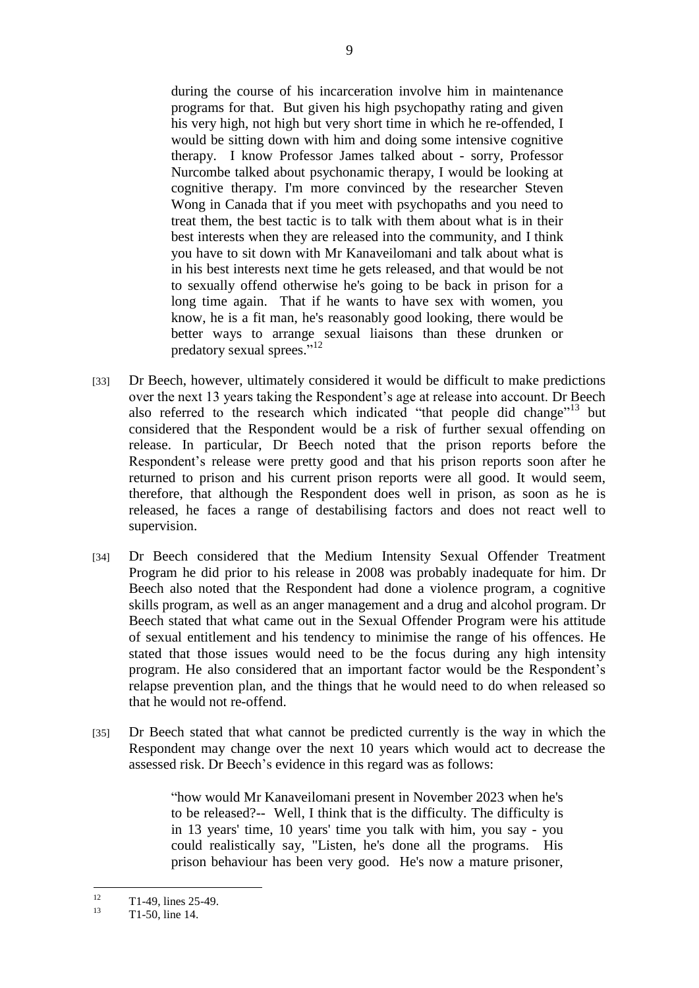during the course of his incarceration involve him in maintenance programs for that. But given his high psychopathy rating and given his very high, not high but very short time in which he re-offended, I would be sitting down with him and doing some intensive cognitive therapy. I know Professor James talked about - sorry, Professor Nurcombe talked about psychonamic therapy, I would be looking at cognitive therapy. I'm more convinced by the researcher Steven Wong in Canada that if you meet with psychopaths and you need to treat them, the best tactic is to talk with them about what is in their best interests when they are released into the community, and I think you have to sit down with Mr Kanaveilomani and talk about what is in his best interests next time he gets released, and that would be not to sexually offend otherwise he's going to be back in prison for a long time again. That if he wants to have sex with women, you know, he is a fit man, he's reasonably good looking, there would be better ways to arrange sexual liaisons than these drunken or predatory sexual sprees."<sup>12</sup>

- [33] Dr Beech, however, ultimately considered it would be difficult to make predictions over the next 13 years taking the Respondent's age at release into account. Dr Beech also referred to the research which indicated "that people did change"<sup>13</sup> but considered that the Respondent would be a risk of further sexual offending on release. In particular, Dr Beech noted that the prison reports before the Respondent's release were pretty good and that his prison reports soon after he returned to prison and his current prison reports were all good. It would seem, therefore, that although the Respondent does well in prison, as soon as he is released, he faces a range of destabilising factors and does not react well to supervision.
- [34] Dr Beech considered that the Medium Intensity Sexual Offender Treatment Program he did prior to his release in 2008 was probably inadequate for him. Dr Beech also noted that the Respondent had done a violence program, a cognitive skills program, as well as an anger management and a drug and alcohol program. Dr Beech stated that what came out in the Sexual Offender Program were his attitude of sexual entitlement and his tendency to minimise the range of his offences. He stated that those issues would need to be the focus during any high intensity program. He also considered that an important factor would be the Respondent's relapse prevention plan, and the things that he would need to do when released so that he would not re-offend.
- [35] Dr Beech stated that what cannot be predicted currently is the way in which the Respondent may change over the next 10 years which would act to decrease the assessed risk. Dr Beech's evidence in this regard was as follows:

"how would Mr Kanaveilomani present in November 2023 when he's to be released?-- Well, I think that is the difficulty. The difficulty is in 13 years' time, 10 years' time you talk with him, you say - you could realistically say, "Listen, he's done all the programs. His prison behaviour has been very good. He's now a mature prisoner,

 $\frac{1}{12}$  $T1-49$ , lines 25-49.

<sup>13</sup> T1-50, line 14.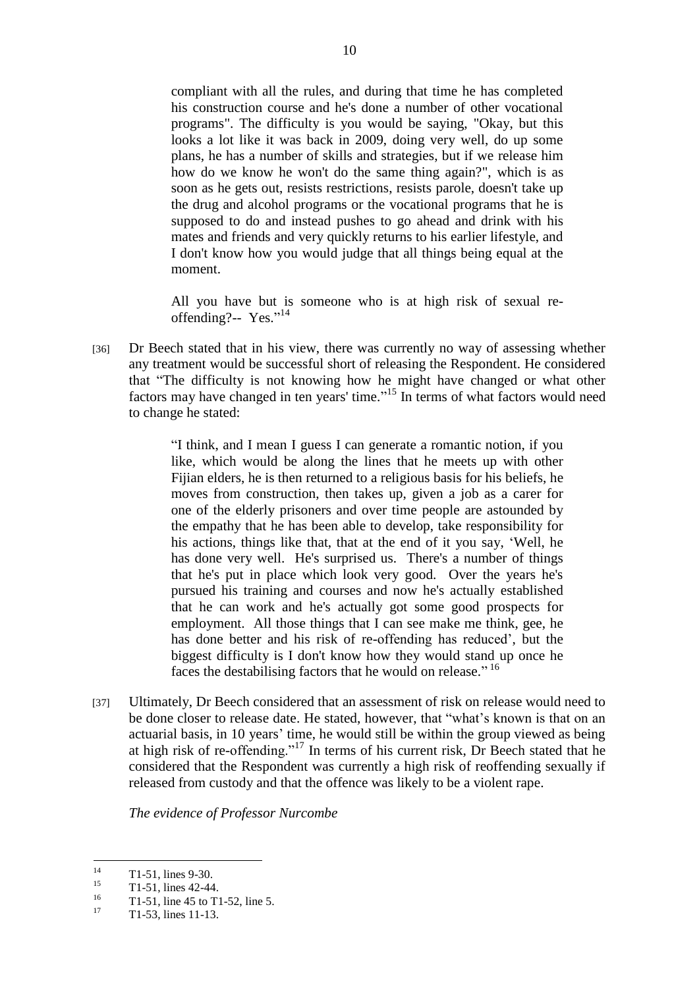compliant with all the rules, and during that time he has completed his construction course and he's done a number of other vocational programs". The difficulty is you would be saying, "Okay, but this looks a lot like it was back in 2009, doing very well, do up some plans, he has a number of skills and strategies, but if we release him how do we know he won't do the same thing again?", which is as soon as he gets out, resists restrictions, resists parole, doesn't take up the drug and alcohol programs or the vocational programs that he is supposed to do and instead pushes to go ahead and drink with his mates and friends and very quickly returns to his earlier lifestyle, and I don't know how you would judge that all things being equal at the moment.

All you have but is someone who is at high risk of sexual reoffending?-- Yes."14

[36] Dr Beech stated that in his view, there was currently no way of assessing whether any treatment would be successful short of releasing the Respondent. He considered that "The difficulty is not knowing how he might have changed or what other factors may have changed in ten years' time."<sup>15</sup> In terms of what factors would need to change he stated:

> "I think, and I mean I guess I can generate a romantic notion, if you like, which would be along the lines that he meets up with other Fijian elders, he is then returned to a religious basis for his beliefs, he moves from construction, then takes up, given a job as a carer for one of the elderly prisoners and over time people are astounded by the empathy that he has been able to develop, take responsibility for his actions, things like that, that at the end of it you say, 'Well, he has done very well. He's surprised us. There's a number of things that he's put in place which look very good. Over the years he's pursued his training and courses and now he's actually established that he can work and he's actually got some good prospects for employment. All those things that I can see make me think, gee, he has done better and his risk of re-offending has reduced', but the biggest difficulty is I don't know how they would stand up once he faces the destabilising factors that he would on release."<sup>16</sup>

[37] Ultimately, Dr Beech considered that an assessment of risk on release would need to be done closer to release date. He stated, however, that "what's known is that on an actuarial basis, in 10 years' time, he would still be within the group viewed as being at high risk of re-offending."<sup>17</sup> In terms of his current risk, Dr Beech stated that he considered that the Respondent was currently a high risk of reoffending sexually if released from custody and that the offence was likely to be a violent rape.

*The evidence of Professor Nurcombe*

 $14$  $14$  T1-51, lines 9-30.

 $15$  T1-51, lines 42-44.

 $^{16}$  T1-51, line 45 to T1-52, line 5.

<sup>17</sup> T1-53, lines 11-13.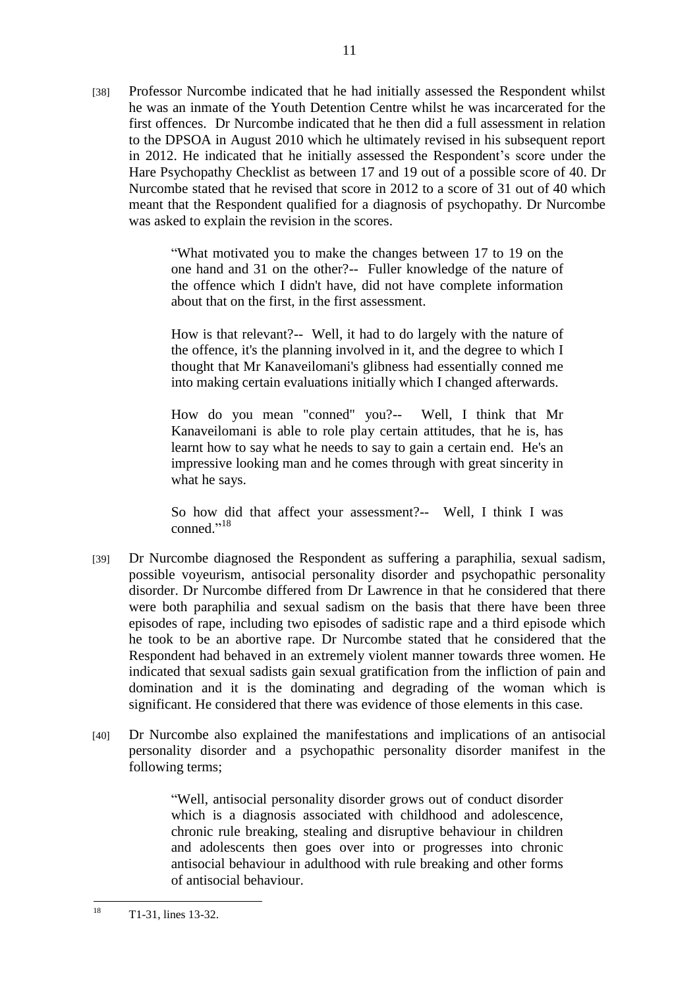[38] Professor Nurcombe indicated that he had initially assessed the Respondent whilst he was an inmate of the Youth Detention Centre whilst he was incarcerated for the first offences. Dr Nurcombe indicated that he then did a full assessment in relation to the DPSOA in August 2010 which he ultimately revised in his subsequent report in 2012. He indicated that he initially assessed the Respondent's score under the Hare Psychopathy Checklist as between 17 and 19 out of a possible score of 40. Dr Nurcombe stated that he revised that score in 2012 to a score of 31 out of 40 which meant that the Respondent qualified for a diagnosis of psychopathy. Dr Nurcombe was asked to explain the revision in the scores.

11

―What motivated you to make the changes between 17 to 19 on the one hand and 31 on the other?-- Fuller knowledge of the nature of the offence which I didn't have, did not have complete information about that on the first, in the first assessment.

How is that relevant?-- Well, it had to do largely with the nature of the offence, it's the planning involved in it, and the degree to which I thought that Mr Kanaveilomani's glibness had essentially conned me into making certain evaluations initially which I changed afterwards.

How do you mean "conned" you?-- Well, I think that Mr Kanaveilomani is able to role play certain attitudes, that he is, has learnt how to say what he needs to say to gain a certain end. He's an impressive looking man and he comes through with great sincerity in what he says.

So how did that affect your assessment?-- Well, I think I was conned."<sup>18</sup>

- [39] Dr Nurcombe diagnosed the Respondent as suffering a paraphilia, sexual sadism, possible voyeurism, antisocial personality disorder and psychopathic personality disorder. Dr Nurcombe differed from Dr Lawrence in that he considered that there were both paraphilia and sexual sadism on the basis that there have been three episodes of rape, including two episodes of sadistic rape and a third episode which he took to be an abortive rape. Dr Nurcombe stated that he considered that the Respondent had behaved in an extremely violent manner towards three women. He indicated that sexual sadists gain sexual gratification from the infliction of pain and domination and it is the dominating and degrading of the woman which is significant. He considered that there was evidence of those elements in this case.
- [40] Dr Nurcombe also explained the manifestations and implications of an antisocial personality disorder and a psychopathic personality disorder manifest in the following terms;

―Well, antisocial personality disorder grows out of conduct disorder which is a diagnosis associated with childhood and adolescence, chronic rule breaking, stealing and disruptive behaviour in children and adolescents then goes over into or progresses into chronic antisocial behaviour in adulthood with rule breaking and other forms of antisocial behaviour.

<sup>18</sup> T1-31, lines 13-32.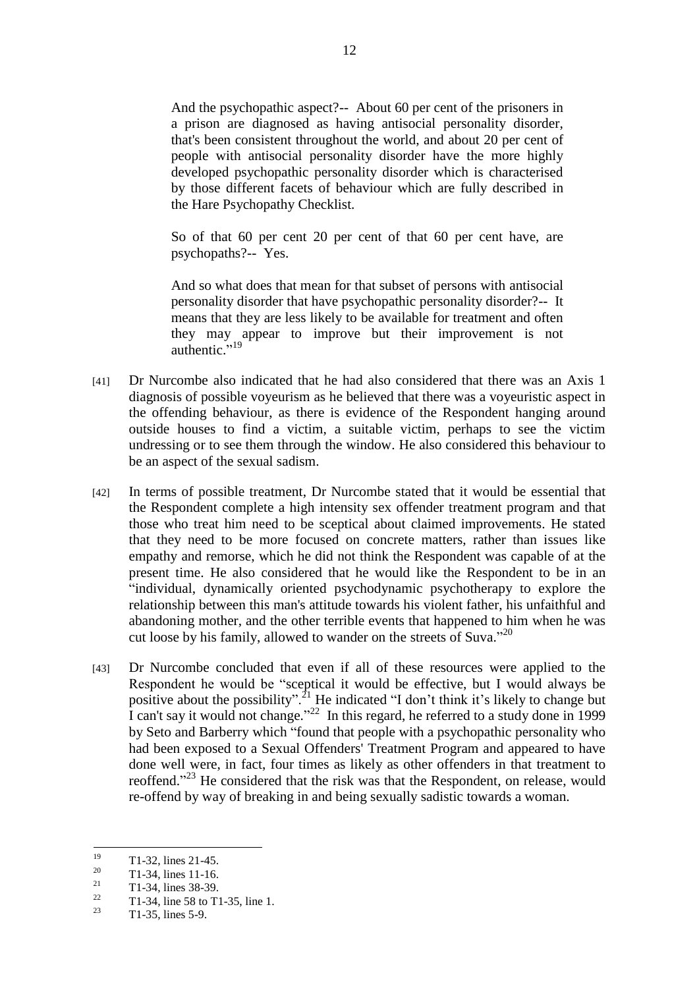And the psychopathic aspect?-- About 60 per cent of the prisoners in a prison are diagnosed as having antisocial personality disorder, that's been consistent throughout the world, and about 20 per cent of people with antisocial personality disorder have the more highly developed psychopathic personality disorder which is characterised by those different facets of behaviour which are fully described in the Hare Psychopathy Checklist.

So of that 60 per cent 20 per cent of that 60 per cent have, are psychopaths?-- Yes.

And so what does that mean for that subset of persons with antisocial personality disorder that have psychopathic personality disorder?-- It means that they are less likely to be available for treatment and often they may appear to improve but their improvement is not authentic."<sup>19</sup>

- [41] Dr Nurcombe also indicated that he had also considered that there was an Axis 1 diagnosis of possible voyeurism as he believed that there was a voyeuristic aspect in the offending behaviour, as there is evidence of the Respondent hanging around outside houses to find a victim, a suitable victim, perhaps to see the victim undressing or to see them through the window. He also considered this behaviour to be an aspect of the sexual sadism.
- [42] In terms of possible treatment, Dr Nurcombe stated that it would be essential that the Respondent complete a high intensity sex offender treatment program and that those who treat him need to be sceptical about claimed improvements. He stated that they need to be more focused on concrete matters, rather than issues like empathy and remorse, which he did not think the Respondent was capable of at the present time. He also considered that he would like the Respondent to be in an ―individual, dynamically oriented psychodynamic psychotherapy to explore the relationship between this man's attitude towards his violent father, his unfaithful and abandoning mother, and the other terrible events that happened to him when he was cut loose by his family, allowed to wander on the streets of Suva."<sup>20</sup>
- [43] Dr Nurcombe concluded that even if all of these resources were applied to the Respondent he would be "sceptical it would be effective, but I would always be positive about the possibility".<sup>21</sup> He indicated "I don't think it's likely to change but I can't say it would not change."<sup>22</sup> In this regard, he referred to a study done in 1999 by Seto and Barberry which "found that people with a psychopathic personality who had been exposed to a Sexual Offenders' Treatment Program and appeared to have done well were, in fact, four times as likely as other offenders in that treatment to reoffend."<sup>23</sup> He considered that the risk was that the Respondent, on release, would re-offend by way of breaking in and being sexually sadistic towards a woman.

<sup>19</sup>  $\frac{19}{20}$  T1-32, lines 21-45.

 $^{20}$  T1-34, lines 11-16.

 $\frac{21}{22}$  T1-34, lines 38-39.

<sup>&</sup>lt;sup>22</sup> T1-34, line 58 to T1-35, line 1.

T1-35, lines 5-9.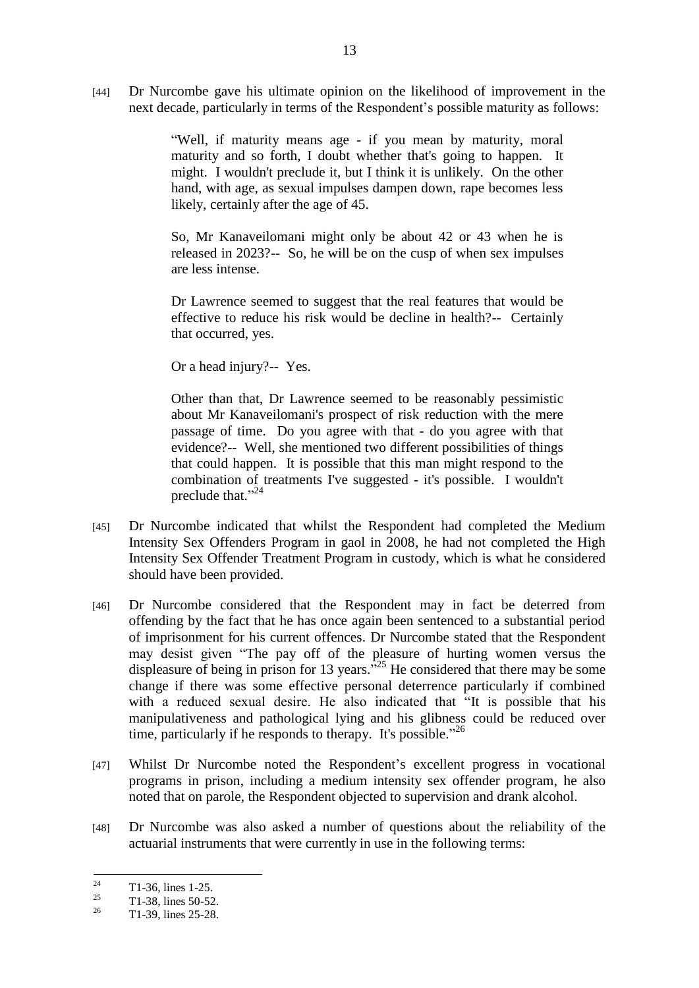[44] Dr Nurcombe gave his ultimate opinion on the likelihood of improvement in the next decade, particularly in terms of the Respondent's possible maturity as follows:

> ―Well, if maturity means age - if you mean by maturity, moral maturity and so forth, I doubt whether that's going to happen. It might. I wouldn't preclude it, but I think it is unlikely. On the other hand, with age, as sexual impulses dampen down, rape becomes less likely, certainly after the age of 45.

> So, Mr Kanaveilomani might only be about 42 or 43 when he is released in 2023?-- So, he will be on the cusp of when sex impulses are less intense.

> Dr Lawrence seemed to suggest that the real features that would be effective to reduce his risk would be decline in health?-- Certainly that occurred, yes.

Or a head injury?-- Yes.

Other than that, Dr Lawrence seemed to be reasonably pessimistic about Mr Kanaveilomani's prospect of risk reduction with the mere passage of time. Do you agree with that - do you agree with that evidence?-- Well, she mentioned two different possibilities of things that could happen. It is possible that this man might respond to the combination of treatments I've suggested - it's possible. I wouldn't preclude that."<sup>24</sup>

- [45] Dr Nurcombe indicated that whilst the Respondent had completed the Medium Intensity Sex Offenders Program in gaol in 2008, he had not completed the High Intensity Sex Offender Treatment Program in custody, which is what he considered should have been provided.
- [46] Dr Nurcombe considered that the Respondent may in fact be deterred from offending by the fact that he has once again been sentenced to a substantial period of imprisonment for his current offences. Dr Nurcombe stated that the Respondent may desist given "The pay off of the pleasure of hurting women versus the displeasure of being in prison for 13 years.<sup>525</sup> He considered that there may be some change if there was some effective personal deterrence particularly if combined with a reduced sexual desire. He also indicated that "It is possible that his manipulativeness and pathological lying and his glibness could be reduced over time, particularly if he responds to therapy. It's possible." $26$
- [47] Whilst Dr Nurcombe noted the Respondent's excellent progress in vocational programs in prison, including a medium intensity sex offender program, he also noted that on parole, the Respondent objected to supervision and drank alcohol.
- [48] Dr Nurcombe was also asked a number of questions about the reliability of the actuarial instruments that were currently in use in the following terms:

 $24$  $\frac{24}{25}$  T1-36, lines 1-25.

 $^{25}$  T1-38, lines 50-52.

<sup>26</sup> T1-39, lines 25-28.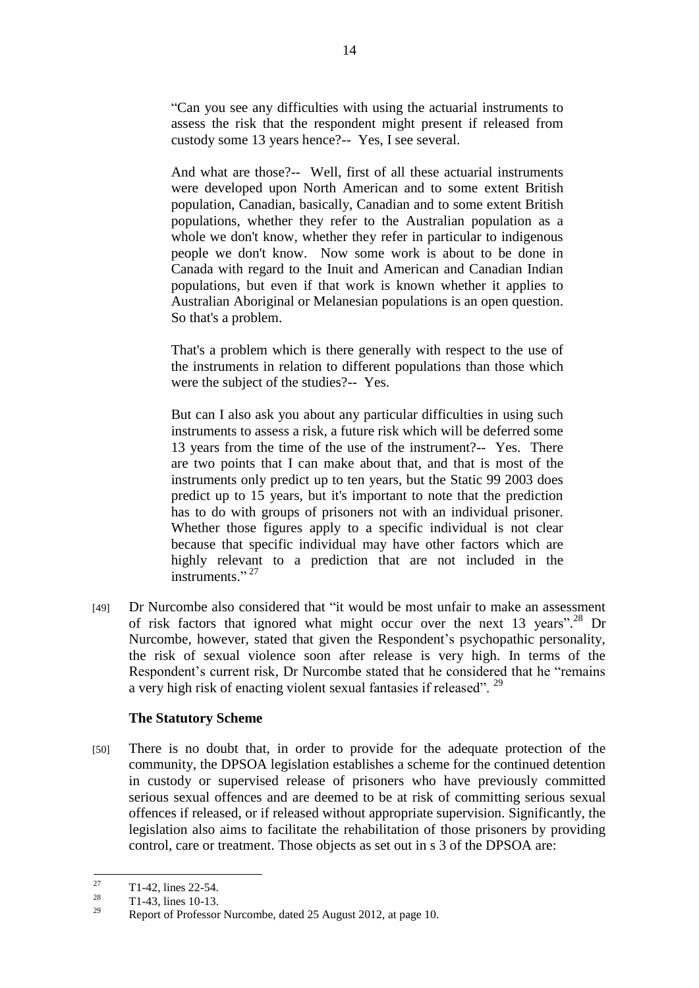―Can you see any difficulties with using the actuarial instruments to assess the risk that the respondent might present if released from custody some 13 years hence?-- Yes, I see several.

And what are those?-- Well, first of all these actuarial instruments were developed upon North American and to some extent British population, Canadian, basically, Canadian and to some extent British populations, whether they refer to the Australian population as a whole we don't know, whether they refer in particular to indigenous people we don't know. Now some work is about to be done in Canada with regard to the Inuit and American and Canadian Indian populations, but even if that work is known whether it applies to Australian Aboriginal or Melanesian populations is an open question. So that's a problem.

That's a problem which is there generally with respect to the use of the instruments in relation to different populations than those which were the subject of the studies?-- Yes.

But can I also ask you about any particular difficulties in using such instruments to assess a risk, a future risk which will be deferred some 13 years from the time of the use of the instrument?-- Yes. There are two points that I can make about that, and that is most of the instruments only predict up to ten years, but the Static 99 2003 does predict up to 15 years, but it's important to note that the prediction has to do with groups of prisoners not with an individual prisoner. Whether those figures apply to a specific individual is not clear because that specific individual may have other factors which are highly relevant to a prediction that are not included in the instruments."<sup>27</sup>

[49] Dr Nurcombe also considered that "it would be most unfair to make an assessment of risk factors that ignored what might occur over the next 13 years".<sup>28</sup> Dr Nurcombe, however, stated that given the Respondent's psychopathic personality, the risk of sexual violence soon after release is very high. In terms of the Respondent's current risk, Dr Nurcombe stated that he considered that he "remains" a very high risk of enacting violent sexual fantasies if released". <sup>29</sup>

## **The Statutory Scheme**

[50] There is no doubt that, in order to provide for the adequate protection of the community, the DPSOA legislation establishes a scheme for the continued detention in custody or supervised release of prisoners who have previously committed serious sexual offences and are deemed to be at risk of committing serious sexual offences if released, or if released without appropriate supervision. Significantly, the legislation also aims to facilitate the rehabilitation of those prisoners by providing control, care or treatment. Those objects as set out in s 3 of the DPSOA are:

 $27$  $\frac{27}{28}$  T1-42, lines 22-54.

 $\frac{28}{29}$  T1-43, lines 10-13.

<sup>29</sup> Report of Professor Nurcombe, dated 25 August 2012, at page 10.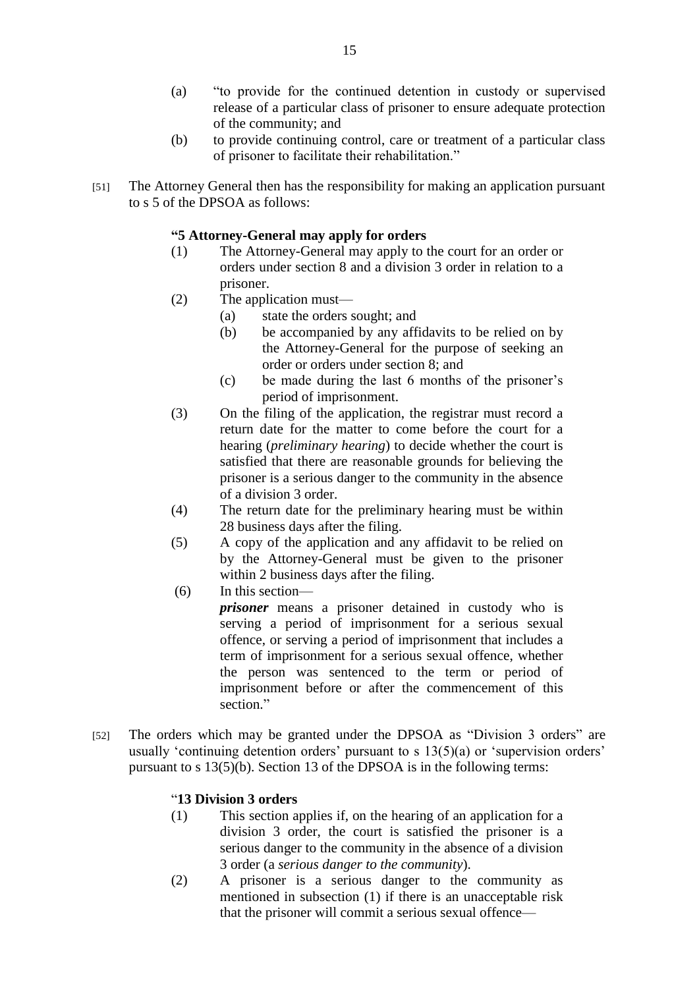- (a) "to provide for the continued detention in custody or supervised release of a particular class of prisoner to ensure adequate protection of the community; and
- (b) to provide continuing control, care or treatment of a particular class of prisoner to facilitate their rehabilitation."
- [51] The Attorney General then has the responsibility for making an application pursuant to s 5 of the DPSOA as follows:

# **"5 Attorney-General may apply for orders**

- (1) The Attorney-General may apply to the court for an order or orders under section 8 and a division 3 order in relation to a prisoner.
- (2) The application must—
	- (a) state the orders sought; and
	- (b) be accompanied by any affidavits to be relied on by the Attorney-General for the purpose of seeking an order or orders under section 8; and
	- (c) be made during the last 6 months of the prisoner's period of imprisonment.
- (3) On the filing of the application, the registrar must record a return date for the matter to come before the court for a hearing (*preliminary hearing*) to decide whether the court is satisfied that there are reasonable grounds for believing the prisoner is a serious danger to the community in the absence of a division 3 order.
- (4) The return date for the preliminary hearing must be within 28 business days after the filing.
- (5) A copy of the application and any affidavit to be relied on by the Attorney-General must be given to the prisoner within 2 business days after the filing.
- (6) In this section—

*prisoner* means a prisoner detained in custody who is serving a period of imprisonment for a serious sexual offence, or serving a period of imprisonment that includes a term of imprisonment for a serious sexual offence, whether the person was sentenced to the term or period of imprisonment before or after the commencement of this section."

[52] The orders which may be granted under the DPSOA as "Division 3 orders" are usually 'continuing detention orders' pursuant to  $s$  13(5)(a) or 'supervision orders' pursuant to s 13(5)(b). Section 13 of the DPSOA is in the following terms:

## ―**13 Division 3 orders**

- (1) This section applies if, on the hearing of an application for a division 3 order, the court is satisfied the prisoner is a serious danger to the community in the absence of a division 3 order (a *serious danger to the community*).
- (2) A prisoner is a serious danger to the community as mentioned in subsection (1) if there is an unacceptable risk that the prisoner will commit a serious sexual offence—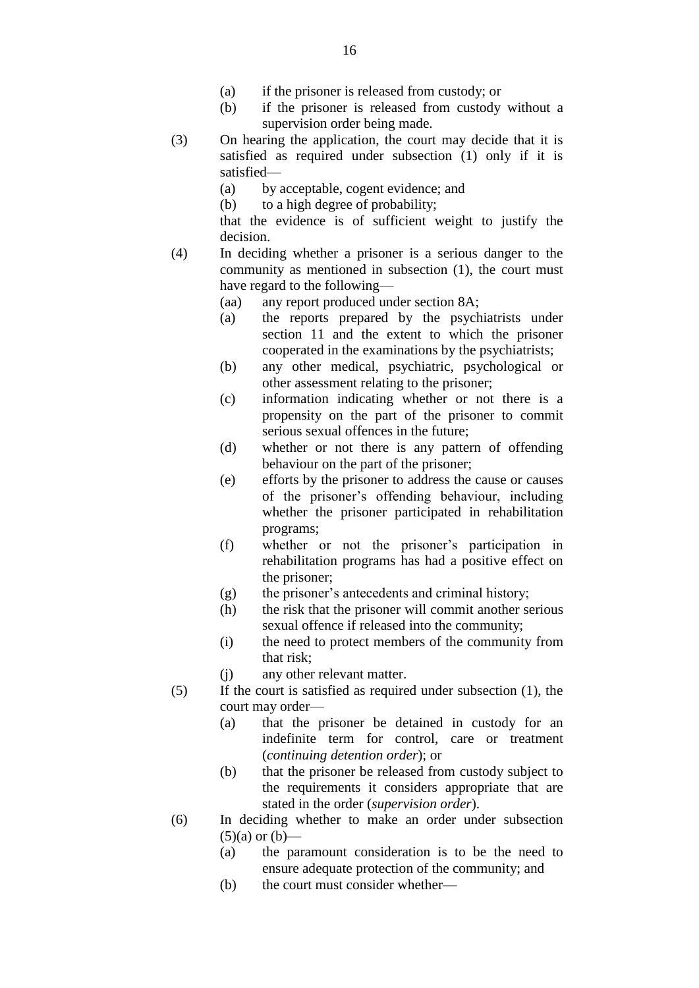- (a) if the prisoner is released from custody; or
- (b) if the prisoner is released from custody without a supervision order being made.
- (3) On hearing the application, the court may decide that it is satisfied as required under subsection (1) only if it is satisfied—
	- (a) by acceptable, cogent evidence; and
	- (b) to a high degree of probability;
	- that the evidence is of sufficient weight to justify the decision.
- (4) In deciding whether a prisoner is a serious danger to the community as mentioned in subsection (1), the court must have regard to the following—
	- (aa) any report produced under section 8A;
	- (a) the reports prepared by the psychiatrists under section 11 and the extent to which the prisoner cooperated in the examinations by the psychiatrists;
	- (b) any other medical, psychiatric, psychological or other assessment relating to the prisoner;
	- (c) information indicating whether or not there is a propensity on the part of the prisoner to commit serious sexual offences in the future;
	- (d) whether or not there is any pattern of offending behaviour on the part of the prisoner;
	- (e) efforts by the prisoner to address the cause or causes of the prisoner's offending behaviour, including whether the prisoner participated in rehabilitation programs;
	- (f) whether or not the prisoner's participation in rehabilitation programs has had a positive effect on the prisoner;
	- (g) the prisoner's antecedents and criminal history;
	- (h) the risk that the prisoner will commit another serious sexual offence if released into the community;
	- (i) the need to protect members of the community from that risk;
	- (j) any other relevant matter.
- (5) If the court is satisfied as required under subsection (1), the court may order—
	- (a) that the prisoner be detained in custody for an indefinite term for control, care or treatment (*continuing detention order*); or
	- (b) that the prisoner be released from custody subject to the requirements it considers appropriate that are stated in the order (*supervision order*).
- (6) In deciding whether to make an order under subsection  $(5)(a)$  or  $(b)$ —
	- (a) the paramount consideration is to be the need to ensure adequate protection of the community; and
	- (b) the court must consider whether—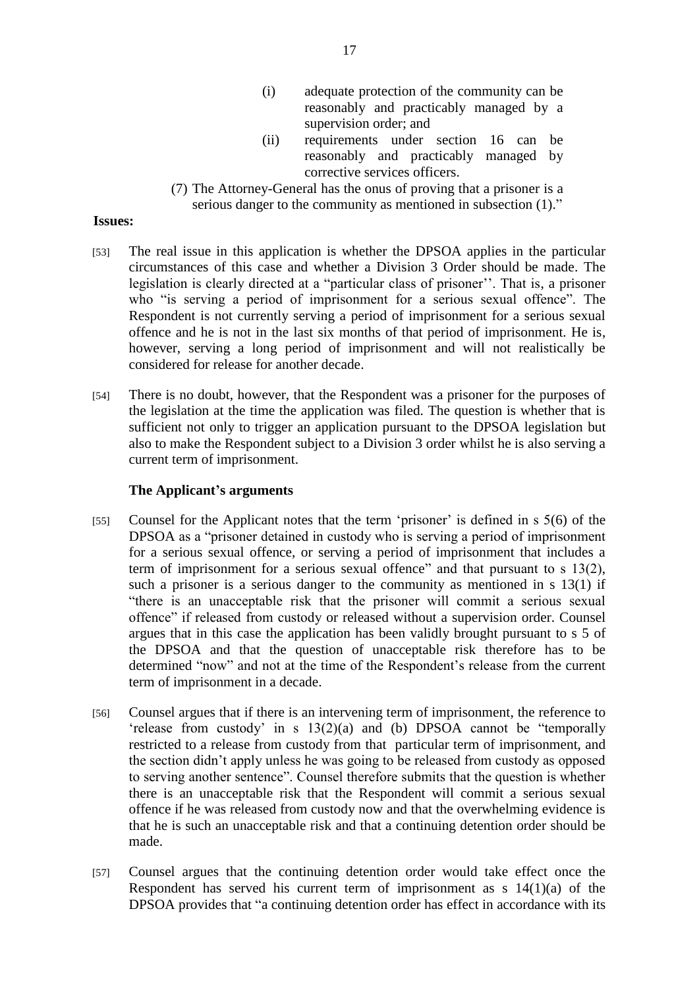- (i) adequate protection of the community can be reasonably and practicably managed by a supervision order; and
- (ii) requirements under section 16 can be reasonably and practicably managed by corrective services officers.
- (7) The Attorney-General has the onus of proving that a prisoner is a serious danger to the community as mentioned in subsection  $(1)$ ."

#### **Issues:**

- [53] The real issue in this application is whether the DPSOA applies in the particular circumstances of this case and whether a Division 3 Order should be made. The legislation is clearly directed at a "particular class of prisoner''. That is, a prisoner who "is serving a period of imprisonment for a serious sexual offence". The Respondent is not currently serving a period of imprisonment for a serious sexual offence and he is not in the last six months of that period of imprisonment. He is, however, serving a long period of imprisonment and will not realistically be considered for release for another decade.
- [54] There is no doubt, however, that the Respondent was a prisoner for the purposes of the legislation at the time the application was filed. The question is whether that is sufficient not only to trigger an application pursuant to the DPSOA legislation but also to make the Respondent subject to a Division 3 order whilst he is also serving a current term of imprisonment.

#### **The Applicant's arguments**

- [55] Counsel for the Applicant notes that the term 'prisoner' is defined in s 5(6) of the DPSOA as a "prisoner detained in custody who is serving a period of imprisonment for a serious sexual offence, or serving a period of imprisonment that includes a term of imprisonment for a serious sexual offence" and that pursuant to s  $13(2)$ , such a prisoner is a serious danger to the community as mentioned in s 13(1) if "there is an unacceptable risk that the prisoner will commit a serious sexual offence" if released from custody or released without a supervision order. Counsel argues that in this case the application has been validly brought pursuant to s 5 of the DPSOA and that the question of unacceptable risk therefore has to be determined "now" and not at the time of the Respondent's release from the current term of imprisonment in a decade.
- [56] Counsel argues that if there is an intervening term of imprisonment, the reference to  $\text{`release from custody' in s } 13(2)(a) \text{ and } (b) \text{ DPSOA cannot be 'temporally'}$ restricted to a release from custody from that particular term of imprisonment, and the section didn't apply unless he was going to be released from custody as opposed to serving another sentence". Counsel therefore submits that the question is whether there is an unacceptable risk that the Respondent will commit a serious sexual offence if he was released from custody now and that the overwhelming evidence is that he is such an unacceptable risk and that a continuing detention order should be made.
- [57] Counsel argues that the continuing detention order would take effect once the Respondent has served his current term of imprisonment as s  $14(1)(a)$  of the DPSOA provides that "a continuing detention order has effect in accordance with its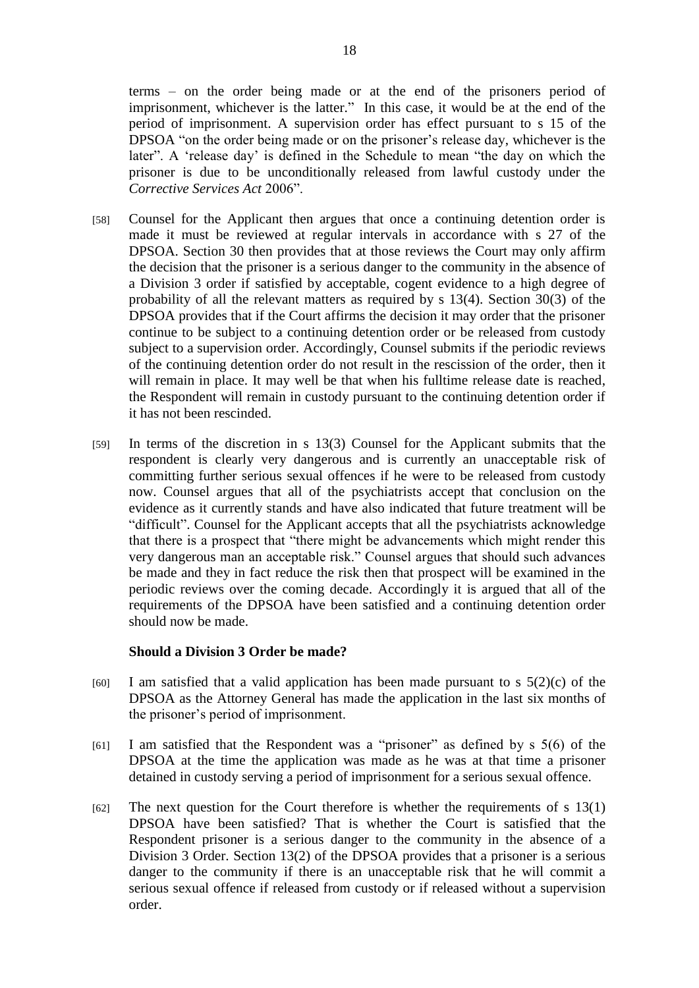terms – on the order being made or at the end of the prisoners period of imprisonment, whichever is the latter." In this case, it would be at the end of the period of imprisonment. A supervision order has effect pursuant to s 15 of the DPSOA "on the order being made or on the prisoner's release day, whichever is the later". A 'release day' is defined in the Schedule to mean "the day on which the prisoner is due to be unconditionally released from lawful custody under the *Corrective Services Act* 2006‖.

- [58] Counsel for the Applicant then argues that once a continuing detention order is made it must be reviewed at regular intervals in accordance with s 27 of the DPSOA. Section 30 then provides that at those reviews the Court may only affirm the decision that the prisoner is a serious danger to the community in the absence of a Division 3 order if satisfied by acceptable, cogent evidence to a high degree of probability of all the relevant matters as required by s 13(4). Section 30(3) of the DPSOA provides that if the Court affirms the decision it may order that the prisoner continue to be subject to a continuing detention order or be released from custody subject to a supervision order. Accordingly, Counsel submits if the periodic reviews of the continuing detention order do not result in the rescission of the order, then it will remain in place. It may well be that when his fulltime release date is reached, the Respondent will remain in custody pursuant to the continuing detention order if it has not been rescinded.
- [59] In terms of the discretion in s 13(3) Counsel for the Applicant submits that the respondent is clearly very dangerous and is currently an unacceptable risk of committing further serious sexual offences if he were to be released from custody now. Counsel argues that all of the psychiatrists accept that conclusion on the evidence as it currently stands and have also indicated that future treatment will be ―difficult‖. Counsel for the Applicant accepts that all the psychiatrists acknowledge that there is a prospect that "there might be advancements which might render this very dangerous man an acceptable risk." Counsel argues that should such advances be made and they in fact reduce the risk then that prospect will be examined in the periodic reviews over the coming decade. Accordingly it is argued that all of the requirements of the DPSOA have been satisfied and a continuing detention order should now be made.

#### **Should a Division 3 Order be made?**

- $[60]$  I am satisfied that a valid application has been made pursuant to s  $5(2)(c)$  of the DPSOA as the Attorney General has made the application in the last six months of the prisoner's period of imprisonment.
- [61] I am satisfied that the Respondent was a "prisoner" as defined by  $s\ 5(6)$  of the DPSOA at the time the application was made as he was at that time a prisoner detained in custody serving a period of imprisonment for a serious sexual offence.
- $[62]$  The next question for the Court therefore is whether the requirements of s 13(1) DPSOA have been satisfied? That is whether the Court is satisfied that the Respondent prisoner is a serious danger to the community in the absence of a Division 3 Order. Section 13(2) of the DPSOA provides that a prisoner is a serious danger to the community if there is an unacceptable risk that he will commit a serious sexual offence if released from custody or if released without a supervision order.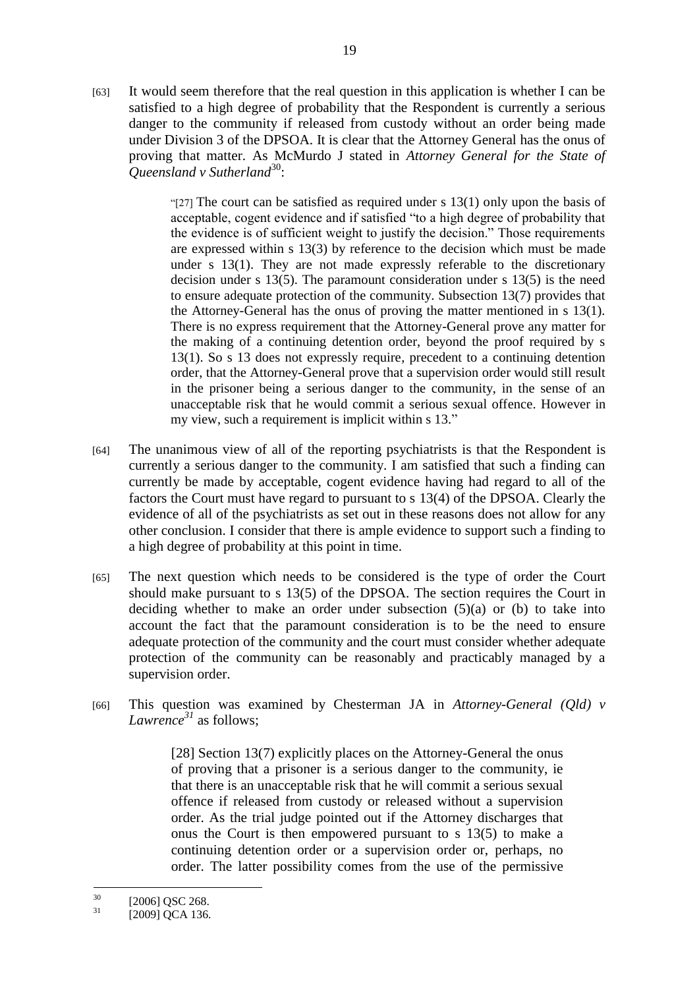[63] It would seem therefore that the real question in this application is whether I can be satisfied to a high degree of probability that the Respondent is currently a serious danger to the community if released from custody without an order being made under Division 3 of the DPSOA. It is clear that the Attorney General has the onus of proving that matter. As McMurdo J stated in *Attorney General for the State of*  Queensland v Sutherland<sup>30</sup>:

> "[27] The court can be satisfied as required under s  $13(1)$  only upon the basis of acceptable, cogent evidence and if satisfied "to a high degree of probability that the evidence is of sufficient weight to justify the decision." Those requirements are expressed within s 13(3) by reference to the decision which must be made under s 13(1). They are not made expressly referable to the discretionary decision under s 13(5). The paramount consideration under s 13(5) is the need to ensure adequate protection of the community. Subsection 13(7) provides that the Attorney-General has the onus of proving the matter mentioned in s 13(1). There is no express requirement that the Attorney-General prove any matter for the making of a continuing detention order, beyond the proof required by s 13(1). So s 13 does not expressly require, precedent to a continuing detention order, that the Attorney-General prove that a supervision order would still result in the prisoner being a serious danger to the community, in the sense of an unacceptable risk that he would commit a serious sexual offence. However in my view, such a requirement is implicit within s 13."

- [64] The unanimous view of all of the reporting psychiatrists is that the Respondent is currently a serious danger to the community. I am satisfied that such a finding can currently be made by acceptable, cogent evidence having had regard to all of the factors the Court must have regard to pursuant to s 13(4) of the DPSOA. Clearly the evidence of all of the psychiatrists as set out in these reasons does not allow for any other conclusion. I consider that there is ample evidence to support such a finding to a high degree of probability at this point in time.
- [65] The next question which needs to be considered is the type of order the Court should make pursuant to s 13(5) of the DPSOA. The section requires the Court in deciding whether to make an order under subsection  $(5)(a)$  or  $(b)$  to take into account the fact that the paramount consideration is to be the need to ensure adequate protection of the community and the court must consider whether adequate protection of the community can be reasonably and practicably managed by a supervision order.
- [66] This question was examined by Chesterman JA in *Attorney-General (Qld) v Lawrence<sup>31</sup>* as follows;

[28] Section 13(7) explicitly places on the Attorney-General the onus of proving that a prisoner is a serious danger to the community, ie that there is an unacceptable risk that he will commit a serious sexual offence if released from custody or released without a supervision order. As the trial judge pointed out if the Attorney discharges that onus the Court is then empowered pursuant to s 13(5) to make a continuing detention order or a supervision order or, perhaps, no order. The latter possibility comes from the use of the permissive

 $30^{\circ}$  $\frac{30}{31}$  [2006] QSC 268.

<sup>[2009]</sup> QCA 136.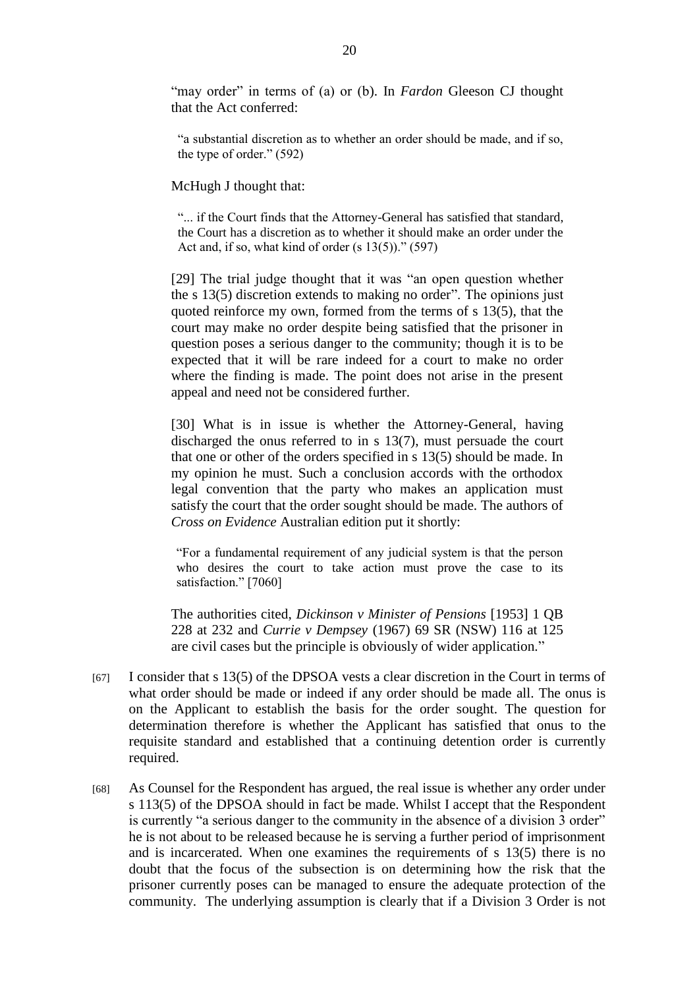"may order" in terms of (a) or (b). In *Fardon* Gleeson CJ thought that the Act conferred:

―a substantial discretion as to whether an order should be made, and if so, the type of order." $(592)$ 

McHugh J thought that:

"... if the Court finds that the Attorney-General has satisfied that standard, the Court has a discretion as to whether it should make an order under the Act and, if so, what kind of order  $(s\ 13(5))$ ." (597)

[29] The trial judge thought that it was "an open question whether the s  $13(5)$  discretion extends to making no order". The opinions just quoted reinforce my own, formed from the terms of s 13(5), that the court may make no order despite being satisfied that the prisoner in question poses a serious danger to the community; though it is to be expected that it will be rare indeed for a court to make no order where the finding is made. The point does not arise in the present appeal and need not be considered further.

[30] What is in issue is whether the Attorney-General, having discharged the onus referred to in s 13(7), must persuade the court that one or other of the orders specified in s 13(5) should be made. In my opinion he must. Such a conclusion accords with the orthodox legal convention that the party who makes an application must satisfy the court that the order sought should be made. The authors of *Cross on Evidence* Australian edition put it shortly:

―For a fundamental requirement of any judicial system is that the person who desires the court to take action must prove the case to its satisfaction." [7060]

The authorities cited, *Dickinson v Minister of Pensions* [1953] 1 QB 228 at 232 and *Currie v Dempsey* (1967) 69 SR (NSW) 116 at 125 are civil cases but the principle is obviously of wider application."

- [67] I consider that s 13(5) of the DPSOA vests a clear discretion in the Court in terms of what order should be made or indeed if any order should be made all. The onus is on the Applicant to establish the basis for the order sought. The question for determination therefore is whether the Applicant has satisfied that onus to the requisite standard and established that a continuing detention order is currently required.
- [68] As Counsel for the Respondent has argued, the real issue is whether any order under s 113(5) of the DPSOA should in fact be made. Whilst I accept that the Respondent is currently "a serious danger to the community in the absence of a division 3 order" he is not about to be released because he is serving a further period of imprisonment and is incarcerated. When one examines the requirements of s 13(5) there is no doubt that the focus of the subsection is on determining how the risk that the prisoner currently poses can be managed to ensure the adequate protection of the community. The underlying assumption is clearly that if a Division 3 Order is not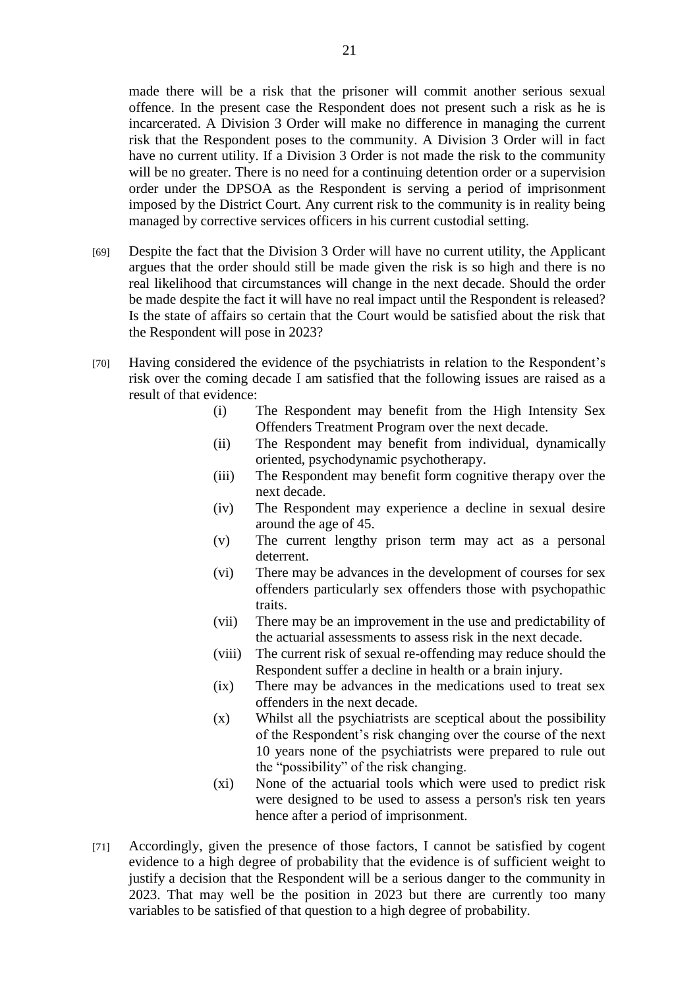made there will be a risk that the prisoner will commit another serious sexual offence. In the present case the Respondent does not present such a risk as he is incarcerated. A Division 3 Order will make no difference in managing the current risk that the Respondent poses to the community. A Division 3 Order will in fact have no current utility. If a Division 3 Order is not made the risk to the community will be no greater. There is no need for a continuing detention order or a supervision order under the DPSOA as the Respondent is serving a period of imprisonment imposed by the District Court. Any current risk to the community is in reality being managed by corrective services officers in his current custodial setting.

- [69] Despite the fact that the Division 3 Order will have no current utility, the Applicant argues that the order should still be made given the risk is so high and there is no real likelihood that circumstances will change in the next decade. Should the order be made despite the fact it will have no real impact until the Respondent is released? Is the state of affairs so certain that the Court would be satisfied about the risk that the Respondent will pose in 2023?
- [70] Having considered the evidence of the psychiatrists in relation to the Respondent's risk over the coming decade I am satisfied that the following issues are raised as a result of that evidence:
	- (i) The Respondent may benefit from the High Intensity Sex Offenders Treatment Program over the next decade.
	- (ii) The Respondent may benefit from individual, dynamically oriented, psychodynamic psychotherapy.
	- (iii) The Respondent may benefit form cognitive therapy over the next decade.
	- (iv) The Respondent may experience a decline in sexual desire around the age of 45.
	- (v) The current lengthy prison term may act as a personal deterrent.
	- (vi) There may be advances in the development of courses for sex offenders particularly sex offenders those with psychopathic traits.
	- (vii) There may be an improvement in the use and predictability of the actuarial assessments to assess risk in the next decade.
	- (viii) The current risk of sexual re-offending may reduce should the Respondent suffer a decline in health or a brain injury.
	- (ix) There may be advances in the medications used to treat sex offenders in the next decade.
	- (x) Whilst all the psychiatrists are sceptical about the possibility of the Respondent's risk changing over the course of the next 10 years none of the psychiatrists were prepared to rule out the "possibility" of the risk changing.
	- (xi) None of the actuarial tools which were used to predict risk were designed to be used to assess a person's risk ten years hence after a period of imprisonment.
- [71] Accordingly, given the presence of those factors, I cannot be satisfied by cogent evidence to a high degree of probability that the evidence is of sufficient weight to justify a decision that the Respondent will be a serious danger to the community in 2023. That may well be the position in 2023 but there are currently too many variables to be satisfied of that question to a high degree of probability.